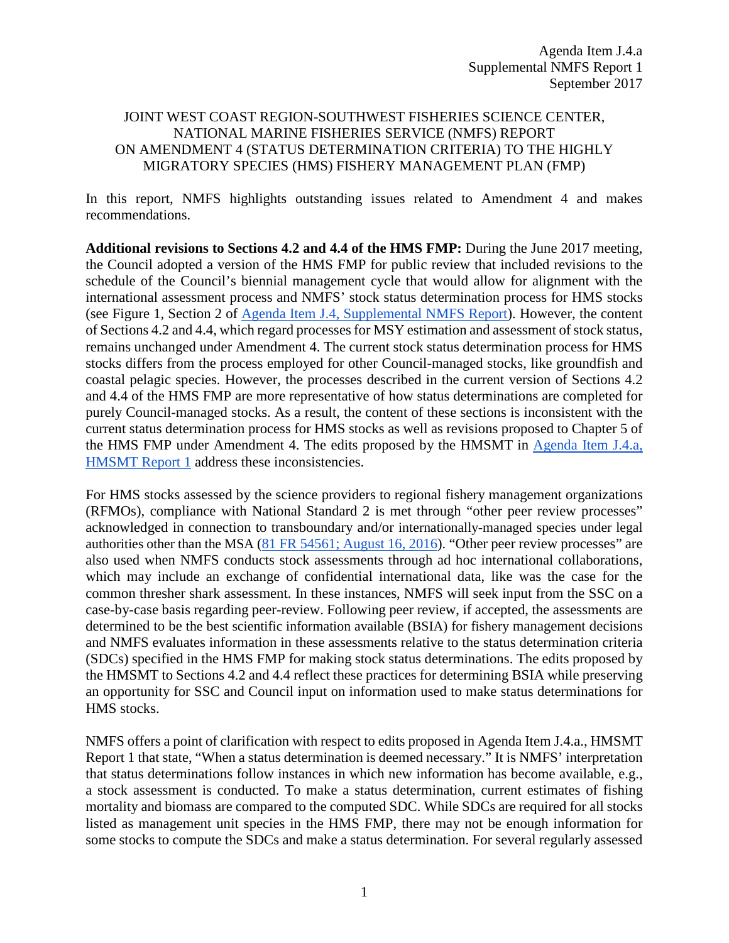## JOINT WEST COAST REGION-SOUTHWEST FISHERIES SCIENCE CENTER, NATIONAL MARINE FISHERIES SERVICE (NMFS) REPORT ON AMENDMENT 4 (STATUS DETERMINATION CRITERIA) TO THE HIGHLY MIGRATORY SPECIES (HMS) FISHERY MANAGEMENT PLAN (FMP)

In this report, NMFS highlights outstanding issues related to Amendment 4 and makes recommendations.

**Additional revisions to Sections 4.2 and 4.4 of the HMS FMP:** During the June 2017 meeting, the Council adopted a version of the HMS FMP for public review that included revisions to the schedule of the Council's biennial management cycle that would allow for alignment with the international assessment process and NMFS' stock status determination process for HMS stocks (see Figure 1, Section 2 o[f](http://www.pcouncil.org/wp-content/uploads/2017/03/J4a_Sup_NMFS_Rpt_Mar2017BB.pdf) [Agenda Item J.4, Supplemental NMFS Report\)](http://www.pcouncil.org/wp-content/uploads/2017/03/J4a_Sup_NMFS_Rpt_Mar2017BB.pdf). However, the content of Sections 4.2 and 4.4, which regard processes for MSY estimation and assessment of stock status, remains unchanged under Amendment 4. The current stock status determination process for HMS stocks differs from the process employed for other Council-managed stocks, like groundfish and coastal pelagic species. However, the processes described in the current version of Sections 4.2 and 4.4 of the HMS FMP are more representative of how status determinations are completed for purely Council-managed stocks. As a result, the content of these sections is inconsistent with the current status determination process for HMS stocks as well as revisions proposed to Chapter 5 of the HMS FMP under Amendment 4. The edits proposed by the HMSMT in [Agenda Item J.4.a,](http://www.pcouncil.org/wp-content/uploads/2017/08/J4a_HMSMT_Rpt1_Amdmt4_SEPT2017BB.pdf)  [HMSMT Report 1](http://www.pcouncil.org/wp-content/uploads/2017/08/J4a_HMSMT_Rpt1_Amdmt4_SEPT2017BB.pdf) address these inconsistencies.

For HMS stocks assessed by the science providers to regional fishery management organizations (RFMOs), compliance with National Standard 2 is met through "other peer review processes" acknowledged in connection to transboundary and/or internationally-managed species under legal authorities other than the MSA [\(81 FR 54561; August 16, 2016\)](https://www.gpo.gov/fdsys/pkg/FR-2016-08-16/pdf/2016-19522.pdf). "Other peer review processes" are also used when NMFS conducts stock assessments through ad hoc international collaborations, which may include an exchange of confidential international data, like was the case for the common thresher shark assessment. In these instances, NMFS will seek input from the SSC on a case-by-case basis regarding peer-review. Following peer review, if accepted, the assessments are determined to be the best scientific information available (BSIA) for fishery management decisions and NMFS evaluates information in these assessments relative to the status determination criteria (SDCs) specified in the HMS FMP for making stock status determinations. The edits proposed by the HMSMT to Sections 4.2 and 4.4 reflect these practices for determining BSIA while preserving an opportunity for SSC and Council input on information used to make status determinations for HMS stocks.

NMFS offers a point of clarification with respect to edits proposed in Agenda Item J.4.a., HMSMT Report 1 that state, "When a status determination is deemed necessary." It is NMFS' interpretation that status determinations follow instances in which new information has become available, e.g., a stock assessment is conducted. To make a status determination, current estimates of fishing mortality and biomass are compared to the computed SDC. While SDCs are required for all stocks listed as management unit species in the HMS FMP, there may not be enough information for some stocks to compute the SDCs and make a status determination. For several regularly assessed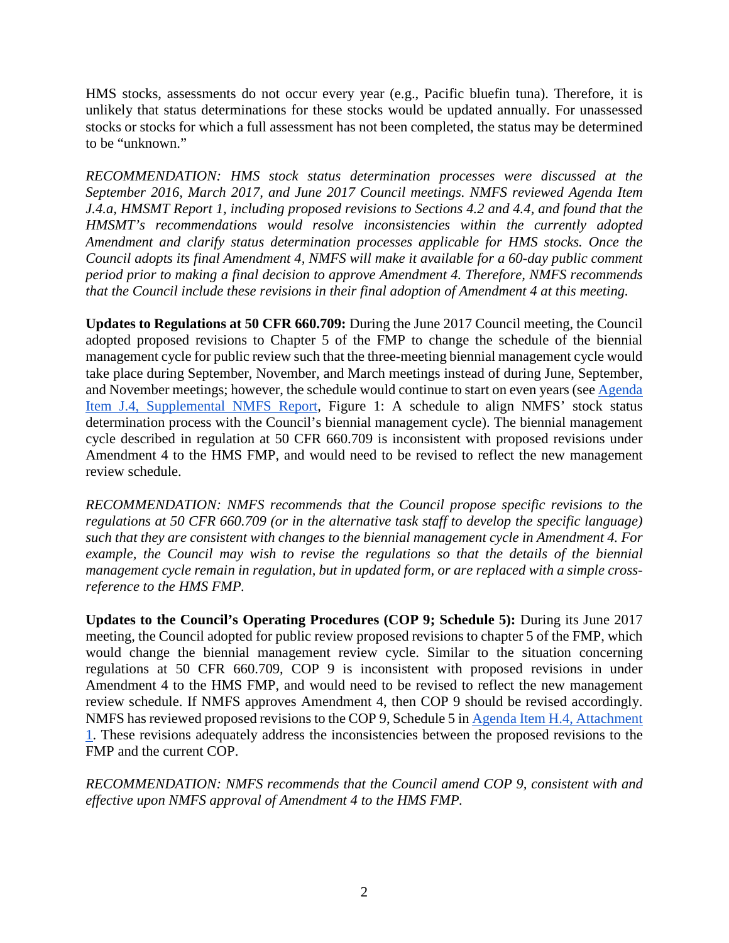HMS stocks, assessments do not occur every year (e.g., Pacific bluefin tuna). Therefore, it is unlikely that status determinations for these stocks would be updated annually. For unassessed stocks or stocks for which a full assessment has not been completed, the status may be determined to be "unknown."

*RECOMMENDATION: HMS stock status determination processes were discussed at the September 2016, March 2017, and June 2017 Council meetings. NMFS reviewed Agenda Item J.4.a, HMSMT Report 1, including proposed revisions to Sections 4.2 and 4.4, and found that the HMSMT's recommendations would resolve inconsistencies within the currently adopted Amendment and clarify status determination processes applicable for HMS stocks. Once the Council adopts its final Amendment 4, NMFS will make it available for a 60-day public comment period prior to making a final decision to approve Amendment 4. Therefore, NMFS recommends that the Council include these revisions in their final adoption of Amendment 4 at this meeting.*

**Updates to Regulations at 50 CFR 660.709:** During the June 2017 Council meeting, the Council adopted proposed revisions to Chapter 5 of the FMP to change the schedule of the biennial management cycle for public review such that the three-meeting biennial management cycle would take place during September, November, and March meetings instead of during June, September, and November meetings; however, the schedule would continue to start on even years (se[e Agenda](http://www.pcouncil.org/wp-content/uploads/2017/03/J4a_Sup_NMFS_Rpt_Mar2017BB.pdf)  [Item J.4, Supplemental NMFS Report,](http://www.pcouncil.org/wp-content/uploads/2017/03/J4a_Sup_NMFS_Rpt_Mar2017BB.pdf) Figure 1: A schedule to align NMFS' stock status determination process with the Council's biennial management cycle). The biennial management cycle described in regulation at 50 CFR 660.709 is inconsistent with proposed revisions under Amendment 4 to the HMS FMP, and would need to be revised to reflect the new management review schedule.

*RECOMMENDATION: NMFS recommends that the Council propose specific revisions to the regulations at 50 CFR 660.709 (or in the alternative task staff to develop the specific language) such that they are consistent with changes to the biennial management cycle in Amendment 4. For example, the Council may wish to revise the regulations so that the details of the biennial management cycle remain in regulation, but in updated form, or are replaced with a simple crossreference to the HMS FMP.*

**Updates to the Council's Operating Procedures (COP 9; Schedule 5):** During its June 2017 meeting, the Council adopted for public review proposed revisions to chapter 5 of the FMP, which would change the biennial management review cycle. Similar to the situation concerning regulations at 50 CFR 660.709, COP 9 is inconsistent with proposed revisions in under Amendment 4 to the HMS FMP, and would need to be revised to reflect the new management review schedule. If NMFS approves Amendment 4, then COP 9 should be revised accordingly. NMFS has reviewed proposed revisions to the COP 9, Schedule 5 in [Agenda Item H.4, Attachment](http://www.pcouncil.org/wp-content/uploads/2017/08/H4_Att1_COP9_SCHEDULE_5_HMS_revisions_SEPT2017BB.pdf)  [1.](http://www.pcouncil.org/wp-content/uploads/2017/08/H4_Att1_COP9_SCHEDULE_5_HMS_revisions_SEPT2017BB.pdf) These revisions adequately address the inconsistencies between the proposed revisions to the FMP and the current COP.

*RECOMMENDATION: NMFS recommends that the Council amend COP 9, consistent with and effective upon NMFS approval of Amendment 4 to the HMS FMP.*